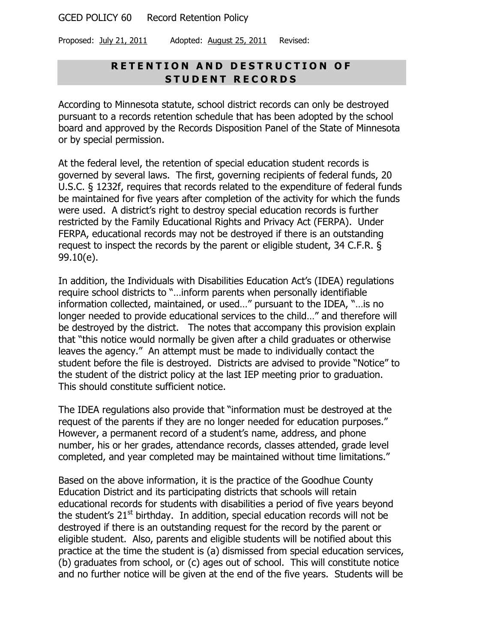Proposed: July 21, 2011 Adopted: August 25, 2011 Revised:

# **R E T E N T I O N A N D D E S T R U C T I O N O F S T U D E N T R E C O R D S**

According to Minnesota statute, school district records can only be destroyed pursuant to a records retention schedule that has been adopted by the school board and approved by the Records Disposition Panel of the State of Minnesota or by special permission.

At the federal level, the retention of special education student records is governed by several laws. The first, governing recipients of federal funds, 20 U.S.C. § 1232f, requires that records related to the expenditure of federal funds be maintained for five years after completion of the activity for which the funds were used. A district's right to destroy special education records is further restricted by the Family Educational Rights and Privacy Act (FERPA). Under FERPA, educational records may not be destroyed if there is an outstanding request to inspect the records by the parent or eligible student, 34 C.F.R. § 99.10(e).

In addition, the Individuals with Disabilities Education Act's (IDEA) regulations require school districts to "…inform parents when personally identifiable information collected, maintained, or used…" pursuant to the IDEA, "…is no longer needed to provide educational services to the child…" and therefore will be destroyed by the district. The notes that accompany this provision explain that "this notice would normally be given after a child graduates or otherwise leaves the agency." An attempt must be made to individually contact the student before the file is destroyed. Districts are advised to provide "Notice" to the student of the district policy at the last IEP meeting prior to graduation. This should constitute sufficient notice.

The IDEA regulations also provide that "information must be destroyed at the request of the parents if they are no longer needed for education purposes." However, a permanent record of a student's name, address, and phone number, his or her grades, attendance records, classes attended, grade level completed, and year completed may be maintained without time limitations."

Based on the above information, it is the practice of the Goodhue County Education District and its participating districts that schools will retain educational records for students with disabilities a period of five years beyond the student's  $21<sup>st</sup>$  birthday. In addition, special education records will not be destroyed if there is an outstanding request for the record by the parent or eligible student. Also, parents and eligible students will be notified about this practice at the time the student is (a) dismissed from special education services, (b) graduates from school, or (c) ages out of school. This will constitute notice and no further notice will be given at the end of the five years. Students will be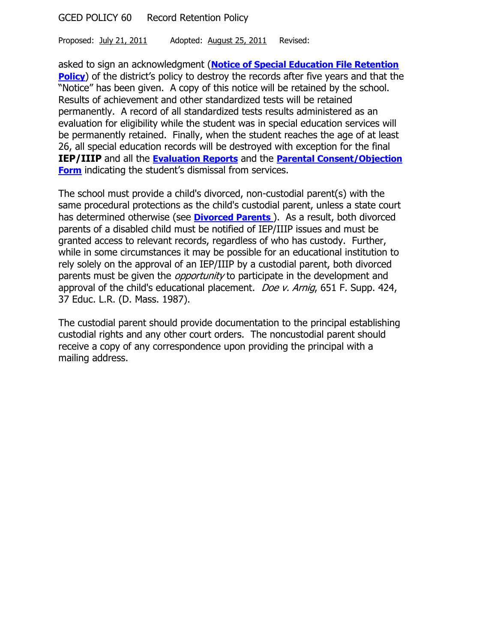Proposed: July 21, 2011 Adopted: August 25, 2011 Revised:

asked to sign an acknowledgment (**[Notice of Special Education File Retention](#page-2-0)  [Policy](#page-2-0)**) of the district's policy to destroy the records after five years and that the "Notice" has been given. A copy of this notice will be retained by the school. Results of achievement and other standardized tests will be retained permanently. A record of all standardized tests results administered as an evaluation for eligibility while the student was in special education services will be permanently retained. Finally, when the student reaches the age of at least 26, all special education records will be destroyed with exception for the final **IEP/IIIP** and all the **Evaluation Reports** and the **Parental [Consent/Objection](file://GCED-EX1/CJohnson$/Chap-4-IEP%20Planning.pdf%23exampleparentalconsentobjectionform)  [Form](file://GCED-EX1/CJohnson$/Chap-4-IEP%20Planning.pdf%23exampleparentalconsentobjectionform)** indicating the student's dismissal from services.

The school must provide a child's divorced, non-custodial parent(s) with the same procedural protections as the child's custodial parent, unless a state court has determined otherwise (see **Divorced Parents** ). As a result, both divorced parents of a disabled child must be notified of IEP/IIIP issues and must be granted access to relevant records, regardless of who has custody. Further, while in some circumstances it may be possible for an educational institution to rely solely on the approval of an IEP/IIIP by a custodial parent, both divorced parents must be given the *opportunity* to participate in the development and approval of the child's educational placement. *Doe v. Arnig*, 651 F. Supp. 424, 37 Educ. L.R. (D. Mass. 1987).

The custodial parent should provide documentation to the principal establishing custodial rights and any other court orders. The noncustodial parent should receive a copy of any correspondence upon providing the principal with a mailing address.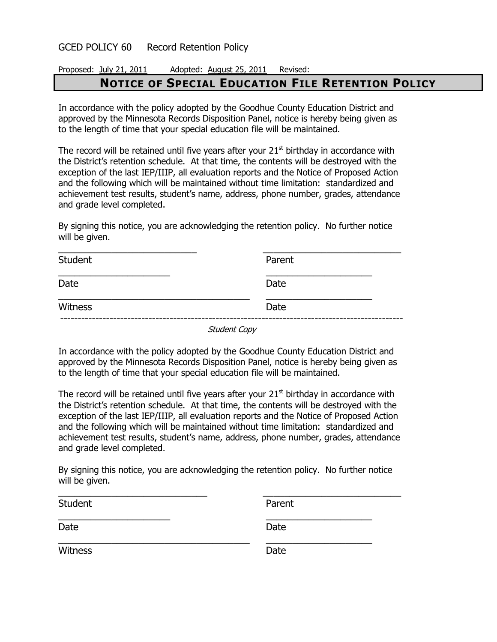# <span id="page-2-0"></span>Proposed: July 21, 2011 Adopted: August 25, 2011 Revised: **NOTICE OF SPECIAL EDUCATION FILE RETENTION POLICY**

In accordance with the policy adopted by the Goodhue County Education District and approved by the Minnesota Records Disposition Panel, notice is hereby being given as to the length of time that your special education file will be maintained.

The record will be retained until five years after your  $21<sup>st</sup>$  birthday in accordance with the District's retention schedule. At that time, the contents will be destroyed with the exception of the last IEP/IIIP, all evaluation reports and the Notice of Proposed Action and the following which will be maintained without time limitation: standardized and achievement test results, student's name, address, phone number, grades, attendance and grade level completed.

By signing this notice, you are acknowledging the retention policy. No further notice will be given.

| <b>Student</b> | Parent |  |
|----------------|--------|--|
| Date           | Date   |  |
| Witness        | Date   |  |

Student Copy

In accordance with the policy adopted by the Goodhue County Education District and approved by the Minnesota Records Disposition Panel, notice is hereby being given as to the length of time that your special education file will be maintained.

The record will be retained until five years after your  $21<sup>st</sup>$  birthday in accordance with the District's retention schedule. At that time, the contents will be destroyed with the exception of the last IEP/IIIP, all evaluation reports and the Notice of Proposed Action and the following which will be maintained without time limitation: standardized and achievement test results, student's name, address, phone number, grades, attendance and grade level completed.

By signing this notice, you are acknowledging the retention policy. No further notice will be given.

| Student        | Parent |
|----------------|--------|
| Date           | Date   |
| <b>Witness</b> | Date   |